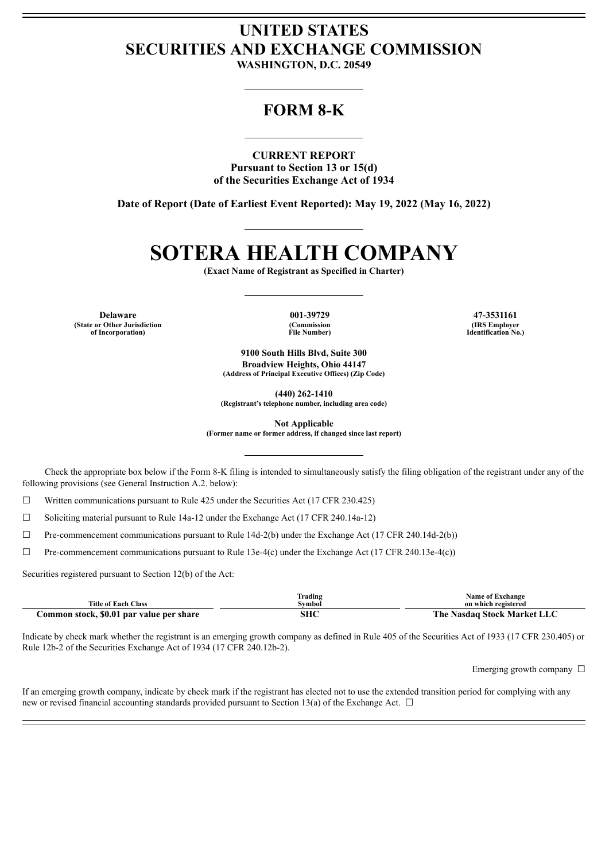## **UNITED STATES SECURITIES AND EXCHANGE COMMISSION**

**WASHINGTON, D.C. 20549**

### **FORM 8-K**

**CURRENT REPORT Pursuant to Section 13 or 15(d) of the Securities Exchange Act of 1934**

**Date of Report (Date of Earliest Event Reported): May 19, 2022 (May 16, 2022)**

# **SOTERA HEALTH COMPANY**

**(Exact Name of Registrant as Specified in Charter)**

**Delaware 001-39729 47-3531161 (State or Other Jurisdiction of Incorporation)**

**(Commission File Number)**

**(IRS Employer Identification No.)**

**9100 South Hills Blvd, Suite 300 Broadview Heights, Ohio 44147 (Address of Principal Executive Offices) (Zip Code)**

**(440) 262-1410**

**(Registrant's telephone number, including area code)**

**Not Applicable**

**(Former name or former address, if changed since last report)**

Check the appropriate box below if the Form 8-K filing is intended to simultaneously satisfy the filing obligation of the registrant under any of the following provisions (see General Instruction A.2. below):

☐ Written communications pursuant to Rule 425 under the Securities Act (17 CFR 230.425)

☐ Soliciting material pursuant to Rule 14a-12 under the Exchange Act (17 CFR 240.14a-12)

☐ Pre-commencement communications pursuant to Rule 14d-2(b) under the Exchange Act (17 CFR 240.14d-2(b))

 $\Box$  Pre-commencement communications pursuant to Rule 13e-4(c) under the Exchange Act (17 CFR 240.13e-4(c))

Securities registered pursuant to Section 12(b) of the Act:

| <b>Title of Each Class</b>               | Trading<br>Symbol | <b>Name of Exchange</b><br>on which registered |
|------------------------------------------|-------------------|------------------------------------------------|
|                                          |                   |                                                |
| Common stock, \$0.01 par value per share | SHC               | The Nasdaq Stock Market LLC                    |

Indicate by check mark whether the registrant is an emerging growth company as defined in Rule 405 of the Securities Act of 1933 (17 CFR 230.405) or Rule 12b-2 of the Securities Exchange Act of 1934 (17 CFR 240.12b-2).

Emerging growth company  $\Box$ 

If an emerging growth company, indicate by check mark if the registrant has elected not to use the extended transition period for complying with any new or revised financial accounting standards provided pursuant to Section 13(a) of the Exchange Act.  $\Box$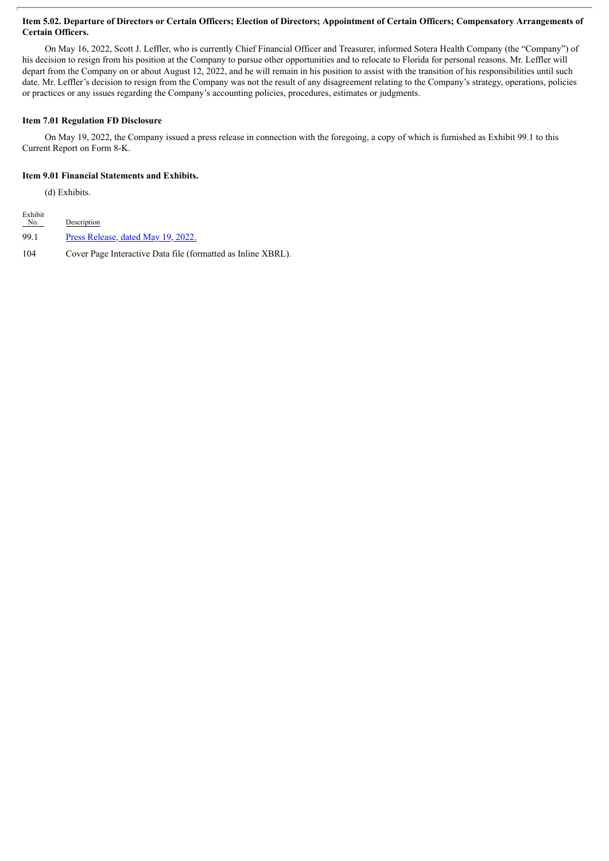#### Item 5.02. Departure of Directors or Certain Officers; Election of Directors; Appointment of Certain Officers; Compensatory Arrangements of **Certain Officers.**

On May 16, 2022, Scott J. Leffler, who is currently Chief Financial Officer and Treasurer, informed Sotera Health Company (the "Company") of his decision to resign from his position at the Company to pursue other opportunities and to relocate to Florida for personal reasons. Mr. Leffler will depart from the Company on or about August 12, 2022, and he will remain in his position to assist with the transition of his responsibilities until such date. Mr. Leffler's decision to resign from the Company was not the result of any disagreement relating to the Company's strategy, operations, policies or practices or any issues regarding the Company's accounting policies, procedures, estimates or judgments.

#### **Item 7.01 Regulation FD Disclosure**

On May 19, 2022, the Company issued a press release in connection with the foregoing, a copy of which is furnished as Exhibit 99.1 to this Current Report on Form 8-K.

#### **Item 9.01 Financial Statements and Exhibits.**

(d) Exhibits.

| Exhibit<br>No. | Description                                                  |
|----------------|--------------------------------------------------------------|
| 99.1           | Press Release, dated May 19, 2022.                           |
| 104            | Cover Page Interactive Data file (formatted as Inline XBRL). |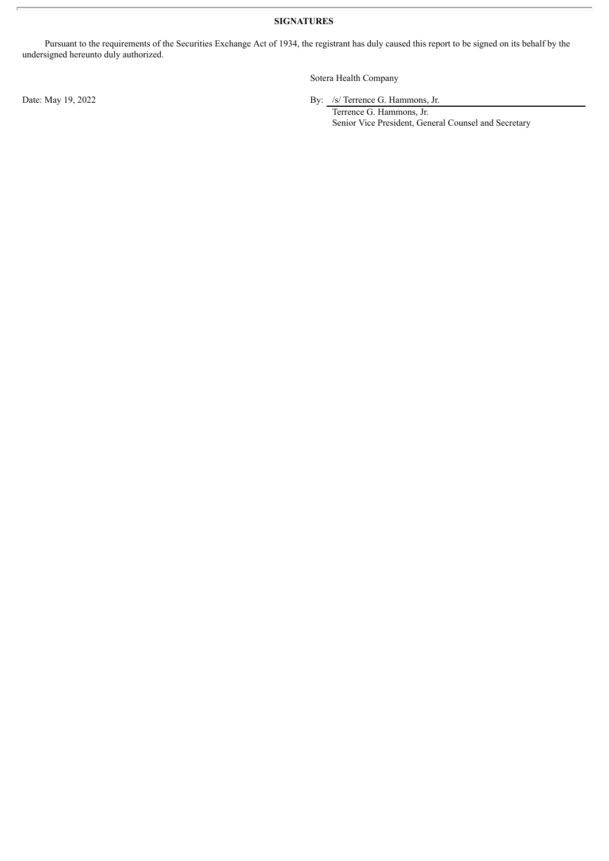**SIGNATURES**

Pursuant to the requirements of the Securities Exchange Act of 1934, the registrant has duly caused this report to be signed on its behalf by the undersigned hereunto duly authorized.

Sotera Health Company

Date: May 19, 2022 By: /s/ Terrence G. Hammons, Jr.

Terrence G. Hammons, Jr. Senior Vice President, General Counsel and Secretary